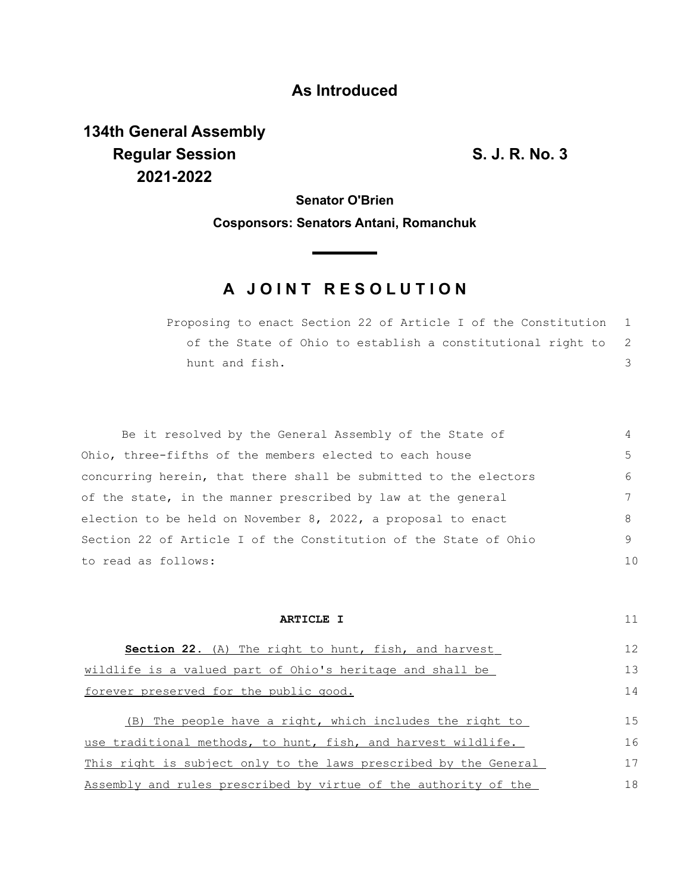## **As Introduced**

**134th General Assembly Regular Session S. J. R. No. 3 2021-2022**

**Senator O'Brien**

**Cosponsors: Senators Antani, Romanchuk**

## **A JOINT RESOLUTION**

Proposing to enact Section 22 of Article I of the Constitution of the State of Ohio to establish a constitutional right to hunt and fish. 1 2 3

Be it resolved by the General Assembly of the State of Ohio, three-fifths of the members elected to each house concurring herein, that there shall be submitted to the electors of the state, in the manner prescribed by law at the general election to be held on November 8, 2022, a proposal to enact Section 22 of Article I of the Constitution of the State of Ohio to read as follows: 4 5 6 7 8 9 10

| ARTICLE I                                                        | 11 |
|------------------------------------------------------------------|----|
| <b>Section 22.</b> (A) The right to hunt, fish, and harvest      | 12 |
| wildlife is a valued part of Ohio's heritage and shall be        | 13 |
| forever preserved for the public good.                           | 14 |
| (B) The people have a right, which includes the right to         | 15 |
| use traditional methods, to hunt, fish, and harvest wildlife.    | 16 |
| This right is subject only to the laws prescribed by the General | 17 |
| Assembly and rules prescribed by virtue of the authority of the  | 18 |